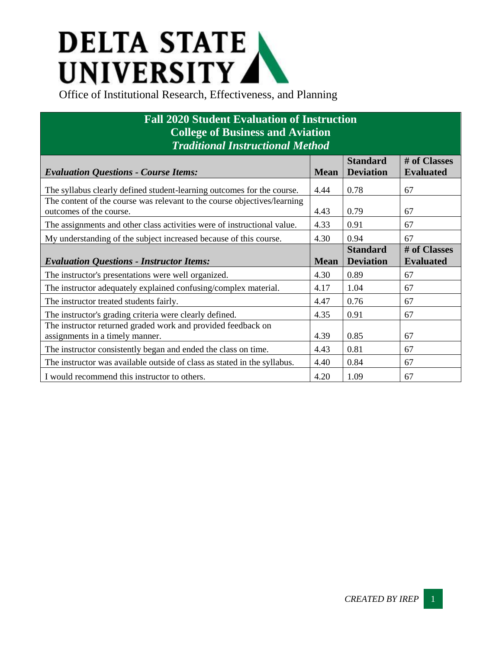## **DELTA STATE** UNIVERSITY

## **Fall 2020 Student Evaluation of Instruction College of Business and Aviation** *Traditional Instructional Method*

| <b>Evaluation Questions - Course Items:</b>                                                         | <b>Mean</b> | <b>Standard</b><br><b>Deviation</b> | # of Classes<br><b>Evaluated</b> |
|-----------------------------------------------------------------------------------------------------|-------------|-------------------------------------|----------------------------------|
| The syllabus clearly defined student-learning outcomes for the course.                              | 4.44        | 0.78                                | 67                               |
| The content of the course was relevant to the course objectives/learning<br>outcomes of the course. | 4.43        | 0.79                                | 67                               |
| The assignments and other class activities were of instructional value.                             | 4.33        | 0.91                                | 67                               |
| My understanding of the subject increased because of this course.                                   | 4.30        | 0.94                                | 67                               |
| <b>Evaluation Questions - Instructor Items:</b>                                                     | <b>Mean</b> | <b>Standard</b><br><b>Deviation</b> | # of Classes<br><b>Evaluated</b> |
| The instructor's presentations were well organized.                                                 | 4.30        | 0.89                                | 67                               |
| The instructor adequately explained confusing/complex material.                                     | 4.17        | 1.04                                | 67                               |
| The instructor treated students fairly.                                                             | 4.47        | 0.76                                | 67                               |
| The instructor's grading criteria were clearly defined.                                             | 4.35        | 0.91                                | 67                               |
| The instructor returned graded work and provided feedback on<br>assignments in a timely manner.     | 4.39        | 0.85                                | 67                               |
| The instructor consistently began and ended the class on time.                                      | 4.43        | 0.81                                | 67                               |
| The instructor was available outside of class as stated in the syllabus.                            | 4.40        | 0.84                                | 67                               |
| I would recommend this instructor to others.                                                        | 4.20        | 1.09                                | 67                               |